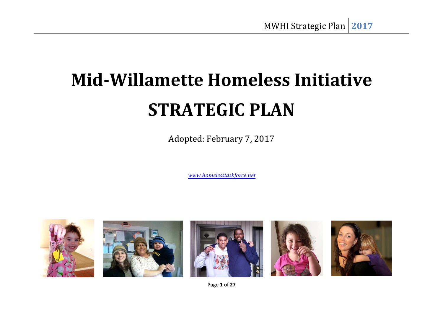# **Mid-Willamette Homeless Initiative STRATEGIC PLAN**

Adopted: February 7, 2017

*www.homelesstaskforce.net* 



Page **1** of **27**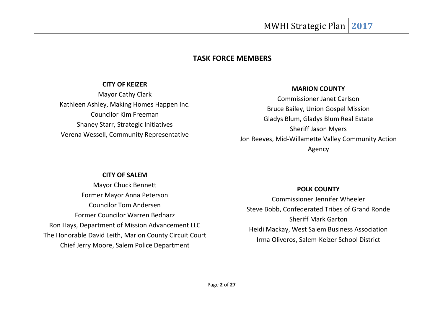### **TASK FORCE MEMBERS**

#### **CITY OF KEIZER**

Mayor Cathy Clark Kathleen Ashley, Making Homes Happen Inc. Councilor Kim Freeman Shaney Starr, Strategic Initiatives Verena Wessell, Community Representative

#### **MARION COUNTY**

Commissioner Janet Carlson Bruce Bailey, Union Gospel Mission Gladys Blum, Gladys Blum Real Estate Sheriff Jason Myers Jon Reeves, Mid-Willamette Valley Community Action Agency

#### **CITY OF SALEM**

Mayor Chuck Bennett Former Mayor Anna Peterson Councilor Tom Andersen Former Councilor Warren Bednarz Ron Hays, Department of Mission Advancement LLC The Honorable David Leith, Marion County Circuit Court Chief Jerry Moore, Salem Police Department

#### **POLK COUNTY**

Commissioner Jennifer Wheeler Steve Bobb, Confederated Tribes of Grand Ronde Sheriff Mark Garton Heidi Mackay, West Salem Business Association Irma Oliveros, Salem-Keizer School District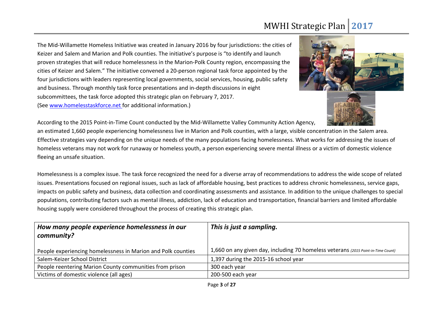The Mid-Willamette Homeless Initiative was created in January 2016 by four jurisdictions: the cities of Keizer and Salem and Marion and Polk counties. The initiative's purpose is "to identify and launch proven strategies that will reduce homelessness in the Marion-Polk County region, encompassing the cities of Keizer and Salem." The initiative convened a 20-person regional task force appointed by the four jurisdictions with leaders representing local governments, social services, housing, public safety and business. Through monthly task force presentations and in-depth discussions in eight subcommittees, the task force adopted this strategic plan on February 7, 2017. (See www.homelesstaskforce.net for additional information.)



According to the 2015 Point-in-Time Count conducted by the Mid-Willamette Valley Community Action Agency,

an estimated 1,660 people experiencing homelessness live in Marion and Polk counties, with a large, visible concentration in the Salem area. Effective strategies vary depending on the unique needs of the many populations facing homelessness. What works for addressing the issues of homeless veterans may not work for runaway or homeless youth, a person experiencing severe mental illness or a victim of domestic violence fleeing an unsafe situation.

Homelessness is a complex issue. The task force recognized the need for a diverse array of recommendations to address the wide scope of related issues. Presentations focused on regional issues, such as lack of affordable housing, best practices to address chronic homelessness, service gaps, impacts on public safety and business, data collection and coordinating assessments and assistance. In addition to the unique challenges to special populations, contributing factors such as mental illness, addiction, lack of education and transportation, financial barriers and limited affordable housing supply were considered throughout the process of creating this strategic plan.

| How many people experience homelessness in our<br>community? | This is just a sampling.                                                          |
|--------------------------------------------------------------|-----------------------------------------------------------------------------------|
| People experiencing homelessness in Marion and Polk counties | 1,660 on any given day, including 70 homeless veterans (2015 Point-in-Time Count) |
| Salem-Keizer School District                                 | 1,397 during the 2015-16 school year                                              |
| People reentering Marion County communities from prison      | 300 each year                                                                     |
| Victims of domestic violence (all ages)                      | 200-500 each year                                                                 |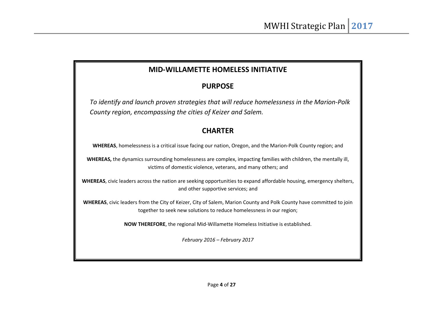### **MID-WILLAMETTE HOMELESS INITIATIVE**

### **PURPOSE**

*To identify and launch proven strategies that will reduce homelessness in the Marion-Polk County region, encompassing the cities of Keizer and Salem.* 

### **CHARTER**

**WHEREAS**, homelessness is a critical issue facing our nation, Oregon, and the Marion-Polk County region; and

**WHEREAS,** the dynamics surrounding homelessness are complex, impacting families with children, the mentally ill, victims of domestic violence, veterans, and many others; and

**WHEREAS**, civic leaders across the nation are seeking opportunities to expand affordable housing, emergency shelters, and other supportive services; and

**WHEREAS**, civic leaders from the City of Keizer, City of Salem, Marion County and Polk County have committed to join together to seek new solutions to reduce homelessness in our region;

**NOW THEREFORE**, the regional Mid-Willamette Homeless Initiative is established.

*February 2016 – February 2017*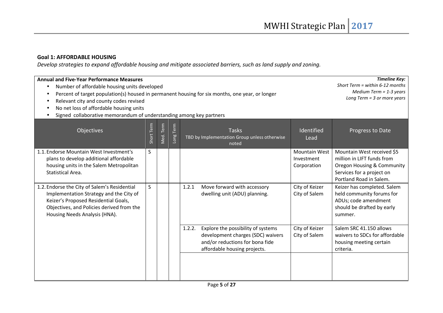#### **Goal 1: AFFORDABLE HOUSING**

*Develop strategies to expand affordable housing and mitigate associated barriers, such as land supply and zoning.* 

| <b>Annual and Five-Year Performance Measures</b><br>Number of affordable housing units developed<br>$\bullet$<br>Percent of target population(s) housed in permanent housing for six months, one year, or longer<br>Relevant city and county codes revised<br>No net loss of affordable housing units<br>Signed collaborative memorandum of understanding among key partners | <b>Timeline Key:</b><br>Short Term = within $6-12$ months<br>Medium Term = $1-3$ years<br>Long Term = $3$ or more years |           |           |                                                                                                                                                      |                                                   |                                                                                                                                                |
|------------------------------------------------------------------------------------------------------------------------------------------------------------------------------------------------------------------------------------------------------------------------------------------------------------------------------------------------------------------------------|-------------------------------------------------------------------------------------------------------------------------|-----------|-----------|------------------------------------------------------------------------------------------------------------------------------------------------------|---------------------------------------------------|------------------------------------------------------------------------------------------------------------------------------------------------|
| Objectives                                                                                                                                                                                                                                                                                                                                                                   | Short Term                                                                                                              | Med. Term | Long Term | <b>Tasks</b><br>TBD by Implementation Group unless otherwise<br>noted                                                                                | Identified<br>Lead                                | Progress to Date                                                                                                                               |
| 1.1. Endorse Mountain West Investment's<br>plans to develop additional affordable<br>housing units in the Salem Metropolitan<br>Statistical Area.                                                                                                                                                                                                                            | S                                                                                                                       |           |           |                                                                                                                                                      | <b>Mountain West</b><br>Investment<br>Corporation | Mountain West received \$5<br>million in LIFT funds from<br>Oregon Housing & Community<br>Services for a project on<br>Portland Road in Salem. |
| 1.2. Endorse the City of Salem's Residential<br>Implementation Strategy and the City of<br>Keizer's Proposed Residential Goals,<br>Objectives, and Policies derived from the<br>Housing Needs Analysis (HNA).                                                                                                                                                                | S.                                                                                                                      |           |           | Move forward with accessory<br>1.2.1<br>dwelling unit (ADU) planning.                                                                                | City of Keizer<br>City of Salem                   | Keizer has completed. Salem<br>held community forums for<br>ADUs; code amendment<br>should be drafted by early<br>summer.                      |
|                                                                                                                                                                                                                                                                                                                                                                              |                                                                                                                         |           |           | 1.2.2.<br>Explore the possibility of systems<br>development charges (SDC) waivers<br>and/or reductions for bona fide<br>affordable housing projects. | City of Keizer<br>City of Salem                   | Salem SRC 41.150 allows<br>waivers to SDCs for affordable<br>housing meeting certain<br>criteria.                                              |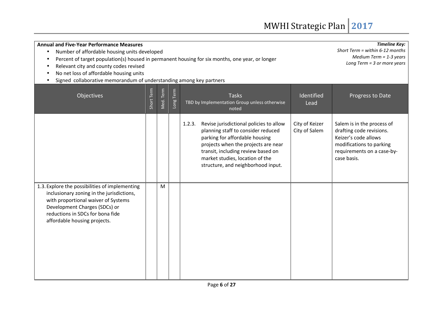| <b>Annual and Five-Year Performance Measures</b><br>Number of affordable housing units developed<br>Percent of target population(s) housed in permanent housing for six months, one year, or longer<br>Relevant city and county codes revised<br>No net loss of affordable housing units<br>Signed collaborative memorandum of understanding among key partners | <b>Timeline Key:</b><br>Short Term = within $6-12$ months<br>Medium Term = $1-3$ years<br>Long Term = $3$ or more years |           |           |                                                                                                                                                                                                                                                                                 |                                 |                                                                                                                                                         |
|-----------------------------------------------------------------------------------------------------------------------------------------------------------------------------------------------------------------------------------------------------------------------------------------------------------------------------------------------------------------|-------------------------------------------------------------------------------------------------------------------------|-----------|-----------|---------------------------------------------------------------------------------------------------------------------------------------------------------------------------------------------------------------------------------------------------------------------------------|---------------------------------|---------------------------------------------------------------------------------------------------------------------------------------------------------|
| Objectives                                                                                                                                                                                                                                                                                                                                                      | Short Term                                                                                                              | Med. Term | Long Term | <b>Tasks</b><br>TBD by Implementation Group unless otherwise<br>noted                                                                                                                                                                                                           | Identified<br>Lead              | Progress to Date                                                                                                                                        |
|                                                                                                                                                                                                                                                                                                                                                                 |                                                                                                                         |           |           | Revise jurisdictional policies to allow<br>1.2.3.<br>planning staff to consider reduced<br>parking for affordable housing<br>projects when the projects are near<br>transit, including review based on<br>market studies, location of the<br>structure, and neighborhood input. | City of Keizer<br>City of Salem | Salem is in the process of<br>drafting code revisions.<br>Keizer's code allows<br>modifications to parking<br>requirements on a case-by-<br>case basis. |
| 1.3. Explore the possibilities of implementing<br>inclusionary zoning in the jurisdictions,<br>with proportional waiver of Systems<br>Development Charges (SDCs) or<br>reductions in SDCs for bona fide<br>affordable housing projects.                                                                                                                         |                                                                                                                         | M         |           |                                                                                                                                                                                                                                                                                 |                                 |                                                                                                                                                         |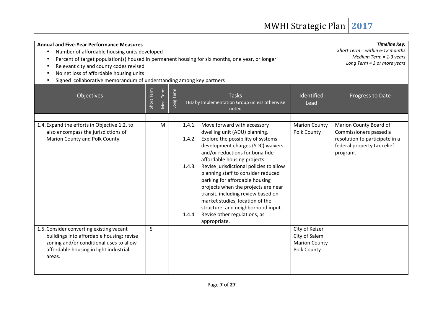| <b>Annual and Five-Year Performance Measures</b><br>Number of affordable housing units developed<br>$\bullet$<br>Percent of target population(s) housed in permanent housing for six months, one year, or longer<br>$\bullet$<br>Relevant city and county codes revised<br>$\bullet$<br>No net loss of affordable housing units<br>Signed collaborative memorandum of understanding among key partners | <b>Timeline Key:</b><br>Short Term = within $6-12$ months<br>Medium Term = $1-3$ years<br>Long Term $=$ 3 or more years |           |          |                                                                                                                                                                                                                                                                                                                                                                                                                                                                                                                                                                       |                                                                        |                                                                                                                               |
|--------------------------------------------------------------------------------------------------------------------------------------------------------------------------------------------------------------------------------------------------------------------------------------------------------------------------------------------------------------------------------------------------------|-------------------------------------------------------------------------------------------------------------------------|-----------|----------|-----------------------------------------------------------------------------------------------------------------------------------------------------------------------------------------------------------------------------------------------------------------------------------------------------------------------------------------------------------------------------------------------------------------------------------------------------------------------------------------------------------------------------------------------------------------------|------------------------------------------------------------------------|-------------------------------------------------------------------------------------------------------------------------------|
| Objectives                                                                                                                                                                                                                                                                                                                                                                                             | Short Term                                                                                                              | Med. Term | ong Term | <b>Tasks</b><br>TBD by Implementation Group unless otherwise<br>noted                                                                                                                                                                                                                                                                                                                                                                                                                                                                                                 | Identified<br>Lead                                                     | Progress to Date                                                                                                              |
| 1.4. Expand the efforts in Objective 1.2. to<br>also encompass the jurisdictions of<br>Marion County and Polk County.                                                                                                                                                                                                                                                                                  |                                                                                                                         | M         |          | Move forward with accessory<br>1.4.1.<br>dwelling unit (ADU) planning.<br>1.4.2. Explore the possibility of systems<br>development charges (SDC) waivers<br>and/or reductions for bona fide<br>affordable housing projects.<br>1.4.3. Revise jurisdictional policies to allow<br>planning staff to consider reduced<br>parking for affordable housing<br>projects when the projects are near<br>transit, including review based on<br>market studies, location of the<br>structure, and neighborhood input.<br>Revise other regulations, as<br>1.4.4.<br>appropriate. | <b>Marion County</b><br>Polk County                                    | Marion County Board of<br>Commissioners passed a<br>resolution to participate in a<br>federal property tax relief<br>program. |
| 1.5. Consider converting existing vacant<br>buildings into affordable housing; revise<br>zoning and/or conditional uses to allow<br>affordable housing in light industrial<br>areas.                                                                                                                                                                                                                   | S                                                                                                                       |           |          |                                                                                                                                                                                                                                                                                                                                                                                                                                                                                                                                                                       | City of Keizer<br>City of Salem<br><b>Marion County</b><br>Polk County |                                                                                                                               |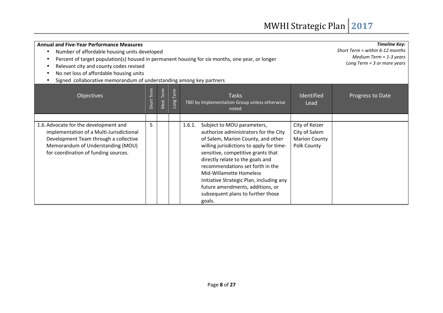| <b>Annual and Five-Year Performance Measures</b>                                                                                                                                                        |                               |                           |                     |                                                                                                                                                                                                                                                                                                                                                                                                                                         |                                                                        | <b>Timeline Key:</b>              |
|---------------------------------------------------------------------------------------------------------------------------------------------------------------------------------------------------------|-------------------------------|---------------------------|---------------------|-----------------------------------------------------------------------------------------------------------------------------------------------------------------------------------------------------------------------------------------------------------------------------------------------------------------------------------------------------------------------------------------------------------------------------------------|------------------------------------------------------------------------|-----------------------------------|
| Number of affordable housing units developed                                                                                                                                                            |                               |                           |                     |                                                                                                                                                                                                                                                                                                                                                                                                                                         |                                                                        | Short Term = within $6-12$ months |
| Percent of target population(s) housed in permanent housing for six months, one year, or longer                                                                                                         |                               | Medium Term = $1-3$ years |                     |                                                                                                                                                                                                                                                                                                                                                                                                                                         |                                                                        |                                   |
| Relevant city and county codes revised                                                                                                                                                                  | Long Term = $3$ or more years |                           |                     |                                                                                                                                                                                                                                                                                                                                                                                                                                         |                                                                        |                                   |
| No net loss of affordable housing units                                                                                                                                                                 |                               |                           |                     |                                                                                                                                                                                                                                                                                                                                                                                                                                         |                                                                        |                                   |
| Signed collaborative memorandum of understanding among key partners                                                                                                                                     |                               |                           |                     |                                                                                                                                                                                                                                                                                                                                                                                                                                         |                                                                        |                                   |
| <b>Objectives</b>                                                                                                                                                                                       | Short Term                    | Med. Term                 | Term<br><b>Buon</b> | <b>Tasks</b><br>TBD by Implementation Group unless otherwise<br>noted                                                                                                                                                                                                                                                                                                                                                                   | Identified<br>Lead                                                     | Progress to Date                  |
|                                                                                                                                                                                                         |                               |                           |                     |                                                                                                                                                                                                                                                                                                                                                                                                                                         |                                                                        |                                   |
| 1.6. Advocate for the development and<br>implementation of a Multi-Jurisdictional<br>Development Team through a collective<br>Memorandum of Understanding (MOU)<br>for coordination of funding sources. | S                             |                           |                     | 1.6.1.<br>Subject to MOU parameters,<br>authorize administrators for the City<br>of Salem, Marion County, and other<br>willing jurisdictions to apply for time-<br>sensitive, competitive grants that<br>directly relate to the goals and<br>recommendations set forth in the<br>Mid-Willamette Homeless<br>Initiative Strategic Plan, including any<br>future amendments, additions, or<br>subsequent plans to further those<br>goals. | City of Keizer<br>City of Salem<br><b>Marion County</b><br>Polk County |                                   |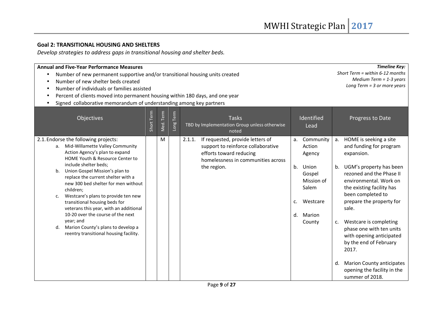#### **Goal 2: TRANSITIONAL HOUSING AND SHELTERS**

*Develop strategies to address gaps in transitional housing and shelter beds.* 

| <b>Annual and Five-Year Performance Measures</b><br>Number of new shelter beds created                                                                                                                                                                                                        | Number of new permanent supportive and/or transitional housing units created<br>Number of individuals or families assisted |           |           |                                                                                                                                                                  |          |                                                                |          |                                                                                                                                                  |  |  |
|-----------------------------------------------------------------------------------------------------------------------------------------------------------------------------------------------------------------------------------------------------------------------------------------------|----------------------------------------------------------------------------------------------------------------------------|-----------|-----------|------------------------------------------------------------------------------------------------------------------------------------------------------------------|----------|----------------------------------------------------------------|----------|--------------------------------------------------------------------------------------------------------------------------------------------------|--|--|
| Percent of clients moved into permanent housing within 180 days, and one year<br>Signed collaborative memorandum of understanding among key partners                                                                                                                                          |                                                                                                                            |           |           |                                                                                                                                                                  |          |                                                                |          |                                                                                                                                                  |  |  |
| Objectives                                                                                                                                                                                                                                                                                    | Short Term                                                                                                                 | Med. Term | Long Term | <b>Tasks</b><br>TBD by Implementation Group unless otherwise<br>noted                                                                                            |          | Identified<br>Lead                                             |          | Progress to Date                                                                                                                                 |  |  |
| 2.1. Endorse the following projects:<br>a. Mid-Willamette Valley Community<br>Action Agency's plan to expand<br>HOME Youth & Resource Center to<br>include shelter beds;<br>Union Gospel Mission's plan to<br>b.<br>replace the current shelter with a<br>new 300 bed shelter for men without |                                                                                                                            | M         |           | If requested, provide letters of<br>2.1.1.<br>support to reinforce collaborative<br>efforts toward reducing<br>homelessness in communities across<br>the region. | a.<br>b. | Community<br>Action<br>Agency<br>Union<br>Gospel<br>Mission of | а.<br>b. | HOME is seeking a site<br>and funding for program<br>expansion.<br>UGM's property has been<br>rezoned and the Phase II<br>environmental. Work on |  |  |
| children;<br>Westcare's plans to provide ten new<br>$\mathsf{C}$ .<br>transitional housing beds for<br>veterans this year, with an additional<br>10-20 over the course of the next                                                                                                            |                                                                                                                            |           |           |                                                                                                                                                                  | c.<br>d. | Salem<br>Westcare<br>Marion                                    |          | the existing facility has<br>been completed to<br>prepare the property for<br>sale.                                                              |  |  |
| year; and<br>Marion County's plans to develop a<br>d.<br>reentry transitional housing facility.                                                                                                                                                                                               |                                                                                                                            |           |           |                                                                                                                                                                  |          | County                                                         | c.       | Westcare is completing<br>phase one with ten units<br>with opening anticipated<br>by the end of February<br>2017.                                |  |  |
|                                                                                                                                                                                                                                                                                               |                                                                                                                            |           |           |                                                                                                                                                                  |          |                                                                | d.       | <b>Marion County anticipates</b><br>opening the facility in the<br>summer of 2018.                                                               |  |  |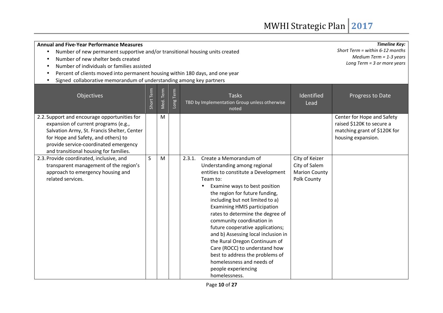| <b>Annual and Five-Year Performance Measures</b><br>Number of new permanent supportive and/or transitional housing units created<br>Number of new shelter beds created<br>Number of individuals or families assisted<br>Percent of clients moved into permanent housing within 180 days, and one year<br>Signed collaborative memorandum of understanding among key partners | <b>Timeline Key:</b><br>Short Term = within $6-12$ months<br>Medium Term = $1-3$ years<br>Long Term = $3$ or more years |           |           |                                                                                                                                                                                                                                                                                                                                                                                                                                                                                                                                                                                         |                                                                        |                                                                                                               |
|------------------------------------------------------------------------------------------------------------------------------------------------------------------------------------------------------------------------------------------------------------------------------------------------------------------------------------------------------------------------------|-------------------------------------------------------------------------------------------------------------------------|-----------|-----------|-----------------------------------------------------------------------------------------------------------------------------------------------------------------------------------------------------------------------------------------------------------------------------------------------------------------------------------------------------------------------------------------------------------------------------------------------------------------------------------------------------------------------------------------------------------------------------------------|------------------------------------------------------------------------|---------------------------------------------------------------------------------------------------------------|
| Objectives                                                                                                                                                                                                                                                                                                                                                                   | Short Term                                                                                                              | Med. Term | Long Term | <b>Tasks</b><br>TBD by Implementation Group unless otherwise<br>noted                                                                                                                                                                                                                                                                                                                                                                                                                                                                                                                   | Identified<br>Lead                                                     | Progress to Date                                                                                              |
| 2.2. Support and encourage opportunities for<br>expansion of current programs (e.g.,<br>Salvation Army, St. Francis Shelter, Center<br>for Hope and Safety, and others) to<br>provide service-coordinated emergency<br>and transitional housing for families.                                                                                                                |                                                                                                                         | M         |           |                                                                                                                                                                                                                                                                                                                                                                                                                                                                                                                                                                                         |                                                                        | Center for Hope and Safety<br>raised \$120K to secure a<br>matching grant of \$120K for<br>housing expansion. |
| 2.3. Provide coordinated, inclusive, and<br>transparent management of the region's<br>approach to emergency housing and<br>related services.                                                                                                                                                                                                                                 | S.                                                                                                                      | M         |           | Create a Memorandum of<br>2.3.1.<br>Understanding among regional<br>entities to constitute a Development<br>Team to:<br>Examine ways to best position<br>the region for future funding,<br>including but not limited to a)<br><b>Examining HMIS participation</b><br>rates to determine the degree of<br>community coordination in<br>future cooperative applications;<br>and b) Assessing local inclusion in<br>the Rural Oregon Continuum of<br>Care (ROCC) to understand how<br>best to address the problems of<br>homelessness and needs of<br>people experiencing<br>homelessness. | City of Keizer<br>City of Salem<br><b>Marion County</b><br>Polk County |                                                                                                               |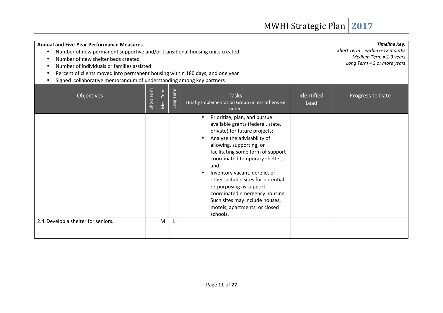| <b>Annual and Five-Year Performance Measures</b>                              |                                                                              |            |           |                                                                                                                                                                                                                                                                                                                                                                                                                                                                  |                    | <b>Timeline Key:</b> |  |  |  |  |
|-------------------------------------------------------------------------------|------------------------------------------------------------------------------|------------|-----------|------------------------------------------------------------------------------------------------------------------------------------------------------------------------------------------------------------------------------------------------------------------------------------------------------------------------------------------------------------------------------------------------------------------------------------------------------------------|--------------------|----------------------|--|--|--|--|
|                                                                               | Number of new permanent supportive and/or transitional housing units created |            |           |                                                                                                                                                                                                                                                                                                                                                                                                                                                                  |                    |                      |  |  |  |  |
| Number of new shelter beds created                                            | Medium Term = $1-3$ years<br>Long Term = 3 or more years                     |            |           |                                                                                                                                                                                                                                                                                                                                                                                                                                                                  |                    |                      |  |  |  |  |
|                                                                               | Number of individuals or families assisted                                   |            |           |                                                                                                                                                                                                                                                                                                                                                                                                                                                                  |                    |                      |  |  |  |  |
| Percent of clients moved into permanent housing within 180 days, and one year |                                                                              |            |           |                                                                                                                                                                                                                                                                                                                                                                                                                                                                  |                    |                      |  |  |  |  |
|                                                                               | Signed collaborative memorandum of understanding among key partners          |            |           |                                                                                                                                                                                                                                                                                                                                                                                                                                                                  |                    |                      |  |  |  |  |
| Objectives                                                                    | Short Term                                                                   | Vled. Term | Long Term | <b>Tasks</b><br>TBD by Implementation Group unless otherwise<br>noted                                                                                                                                                                                                                                                                                                                                                                                            | Identified<br>Lead | Progress to Date     |  |  |  |  |
|                                                                               |                                                                              |            |           | Prioritize, plan, and pursue<br>available grants (federal, state,<br>private) for future projects;<br>Analyze the advisability of<br>allowing, supporting, or<br>facilitating some form of support-<br>coordinated temporary shelter;<br>and<br>Inventory vacant, derelict or<br>other suitable sites for potential<br>re-purposing as support-<br>coordinated emergency housing.<br>Such sites may include houses,<br>motels, apartments, or closed<br>schools. |                    |                      |  |  |  |  |
| 2.4. Develop a shelter for seniors.                                           |                                                                              | M          |           |                                                                                                                                                                                                                                                                                                                                                                                                                                                                  |                    |                      |  |  |  |  |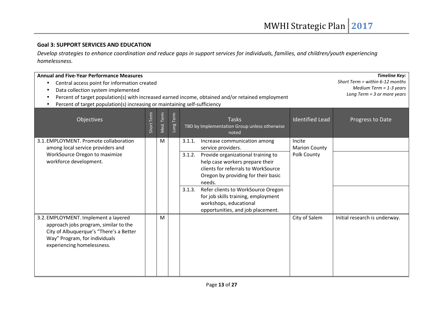#### **Goal 3: SUPPORT SERVICES AND EDUCATION**

*Develop strategies to enhance coordination and reduce gaps in support services for individuals, families, and children/youth experiencing homelessness.* 

| <b>Annual and Five-Year Performance Measures</b><br>Central access point for information created<br>٠<br>Data collection system implemented<br>Percent of target population(s) with increased earned income, obtained and/or retained employment<br>Percent of target population(s) increasing or maintaining self-sufficiency | <b>Timeline Key:</b><br>Short Term = within $6-12$ months<br>Medium Term = $1-3$ years<br>Long Term $=$ 3 or more years |           |           |                                                                                                                                                                                                                                                                                                                                                                                               |                                               |                               |
|--------------------------------------------------------------------------------------------------------------------------------------------------------------------------------------------------------------------------------------------------------------------------------------------------------------------------------|-------------------------------------------------------------------------------------------------------------------------|-----------|-----------|-----------------------------------------------------------------------------------------------------------------------------------------------------------------------------------------------------------------------------------------------------------------------------------------------------------------------------------------------------------------------------------------------|-----------------------------------------------|-------------------------------|
| Objectives                                                                                                                                                                                                                                                                                                                     | Short Term                                                                                                              | Med. Term | Long Term | <b>Tasks</b><br>TBD by Implementation Group unless otherwise<br>noted                                                                                                                                                                                                                                                                                                                         | <b>Identified Lead</b>                        | Progress to Date              |
| 3.1. EMPLOYMENT. Promote collaboration<br>among local service providers and<br>WorkSource Oregon to maximize<br>workforce development.                                                                                                                                                                                         |                                                                                                                         | M         |           | Increase communication among<br>3.1.1.<br>service providers.<br>Provide organizational training to<br>3.1.2.<br>help case workers prepare their<br>clients for referrals to WorkSource<br>Oregon by providing for their basic<br>needs.<br>Refer clients to WorkSource Oregon<br>3.1.3.<br>for job skills training, employment<br>workshops, educational<br>opportunities, and job placement. | Incite<br><b>Marion County</b><br>Polk County |                               |
| 3.2. EMPLOYMENT. Implement a layered<br>approach jobs program, similar to the<br>City of Albuquerque's "There's a Better<br>Way" Program, for individuals<br>experiencing homelessness.                                                                                                                                        |                                                                                                                         | M         |           |                                                                                                                                                                                                                                                                                                                                                                                               | City of Salem                                 | Initial research is underway. |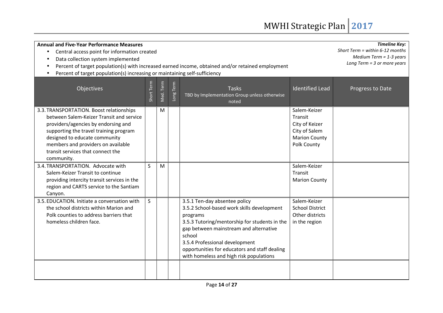| <b>Annual and Five-Year Performance Measures</b><br>Central access point for information created<br>$\bullet$<br>Data collection system implemented<br>Percent of target population(s) with increased earned income, obtained and/or retained employment<br>Percent of target population(s) increasing or maintaining self-sufficiency | <b>Timeline Key:</b><br>Short Term = within $6-12$ months<br>Medium Term = $1-3$ years<br>Long Term $=$ 3 or more years |           |          |                                                                                                                                                                                                                                                                                                                            |                                                                                                   |                  |
|----------------------------------------------------------------------------------------------------------------------------------------------------------------------------------------------------------------------------------------------------------------------------------------------------------------------------------------|-------------------------------------------------------------------------------------------------------------------------|-----------|----------|----------------------------------------------------------------------------------------------------------------------------------------------------------------------------------------------------------------------------------------------------------------------------------------------------------------------------|---------------------------------------------------------------------------------------------------|------------------|
| Objectives                                                                                                                                                                                                                                                                                                                             | Short Term                                                                                                              | Med. Term | ong Term | <b>Tasks</b><br>TBD by Implementation Group unless otherwise<br>noted                                                                                                                                                                                                                                                      | <b>Identified Lead</b>                                                                            | Progress to Date |
| 3.3. TRANSPORTATION. Boost relationships<br>between Salem-Keizer Transit and service<br>providers/agencies by endorsing and<br>supporting the travel training program<br>designed to educate community<br>members and providers on available<br>transit services that connect the<br>community.                                        |                                                                                                                         | M         |          |                                                                                                                                                                                                                                                                                                                            | Salem-Keizer<br>Transit<br>City of Keizer<br>City of Salem<br><b>Marion County</b><br>Polk County |                  |
| 3.4. TRANSPORTATION. Advocate with<br>Salem-Keizer Transit to continue<br>providing intercity transit services in the<br>region and CARTS service to the Santiam<br>Canyon.                                                                                                                                                            | S                                                                                                                       | M         |          |                                                                                                                                                                                                                                                                                                                            | Salem-Keizer<br><b>Transit</b><br><b>Marion County</b>                                            |                  |
| 3.5. EDUCATION. Initiate a conversation with<br>the school districts within Marion and<br>Polk counties to address barriers that<br>homeless children face.                                                                                                                                                                            | S                                                                                                                       |           |          | 3.5.1 Ten-day absentee policy<br>3.5.2 School-based work skills development<br>programs<br>3.5.3 Tutoring/mentorship for students in the<br>gap between mainstream and alternative<br>school<br>3.5.4 Professional development<br>opportunities for educators and staff dealing<br>with homeless and high risk populations | Salem-Keizer<br><b>School District</b><br>Other districts<br>in the region                        |                  |
|                                                                                                                                                                                                                                                                                                                                        |                                                                                                                         |           |          |                                                                                                                                                                                                                                                                                                                            |                                                                                                   |                  |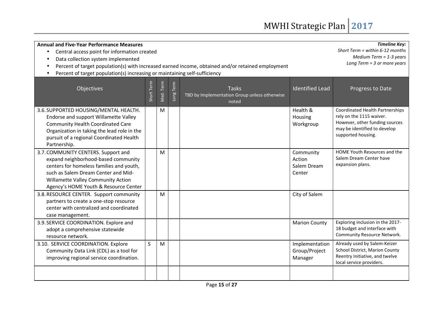| <b>Annual and Five-Year Performance Measures</b><br>Central access point for information created<br>Data collection system implemented<br>Percent of target population(s) with increased earned income, obtained and/or retained employment<br>Percent of target population(s) increasing or maintaining self-sufficiency | <b>Timeline Key:</b><br>Short Term = within $6-12$ months<br>Medium Term = $1-3$ years<br>Long Term $=$ 3 or more years |           |          |                                                                       |                                              |                                                                                                                                                            |
|---------------------------------------------------------------------------------------------------------------------------------------------------------------------------------------------------------------------------------------------------------------------------------------------------------------------------|-------------------------------------------------------------------------------------------------------------------------|-----------|----------|-----------------------------------------------------------------------|----------------------------------------------|------------------------------------------------------------------------------------------------------------------------------------------------------------|
| Objectives                                                                                                                                                                                                                                                                                                                | Short Term                                                                                                              | Med. Term | ong Term | <b>Tasks</b><br>TBD by Implementation Group unless otherwise<br>noted | <b>Identified Lead</b>                       | Progress to Date                                                                                                                                           |
| 3.6. SUPPORTED HOUSING/MENTAL HEALTH.<br>Endorse and support Willamette Valley<br><b>Community Health Coordinated Care</b><br>Organization in taking the lead role in the<br>pursuit of a regional Coordinated Health<br>Partnership.                                                                                     |                                                                                                                         | M         |          |                                                                       | Health &<br>Housing<br>Workgroup             | <b>Coordinated Health Partnerships</b><br>rely on the 1115 waiver.<br>However, other funding sources<br>may be identified to develop<br>supported housing. |
| 3.7. COMMUNITY CENTERS. Support and<br>expand neighborhood-based community<br>centers for homeless families and youth,<br>such as Salem Dream Center and Mid-<br>Willamette Valley Community Action<br>Agency's HOME Youth & Resource Center                                                                              |                                                                                                                         | M         |          |                                                                       | Community<br>Action<br>Salem Dream<br>Center | HOME Youth Resources and the<br>Salem Dream Center have<br>expansion plans.                                                                                |
| 3.8. RESOURCE CENTER. Support community<br>partners to create a one-stop resource<br>center with centralized and coordinated<br>case management.                                                                                                                                                                          |                                                                                                                         | M         |          |                                                                       | City of Salem                                |                                                                                                                                                            |
| 3.9. SERVICE COORDINATION. Explore and<br>adopt a comprehensive statewide<br>resource network.                                                                                                                                                                                                                            |                                                                                                                         |           |          |                                                                       | <b>Marion County</b>                         | Exploring inclusion in the 2017-<br>18 budget and interface with<br>Community Resource Network.                                                            |
| 3.10. SERVICE COORDINATION. Explore<br>Community Data Link (CDL) as a tool for<br>improving regional service coordination.                                                                                                                                                                                                | S                                                                                                                       | M         |          |                                                                       | Implementation<br>Group/Project<br>Manager   | Already used by Salem-Keizer<br>School District, Marion County<br>Reentry Initiative, and twelve<br>local service providers.                               |
|                                                                                                                                                                                                                                                                                                                           |                                                                                                                         |           |          |                                                                       |                                              |                                                                                                                                                            |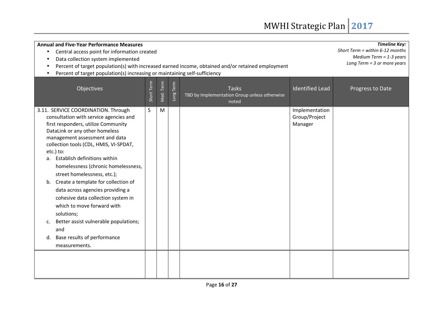| <b>Annual and Five-Year Performance Measures</b><br>Central access point for information created<br>Data collection system implemented<br>Percent of target population(s) with increased earned income, obtained and/or retained employment<br>Percent of target population(s) increasing or maintaining self-sufficiency                                                                                                                                                                                                                                                                                                               | <b>Timeline Key:</b><br>Short Term = within $6-12$ months<br>Medium Term = $1-3$ years<br>Long Term = 3 or more years |           |          |                                                                       |                                            |                  |
|-----------------------------------------------------------------------------------------------------------------------------------------------------------------------------------------------------------------------------------------------------------------------------------------------------------------------------------------------------------------------------------------------------------------------------------------------------------------------------------------------------------------------------------------------------------------------------------------------------------------------------------------|-----------------------------------------------------------------------------------------------------------------------|-----------|----------|-----------------------------------------------------------------------|--------------------------------------------|------------------|
| Objectives                                                                                                                                                                                                                                                                                                                                                                                                                                                                                                                                                                                                                              | Short Term                                                                                                            | Med. Term | ong Term | <b>Tasks</b><br>TBD by Implementation Group unless otherwise<br>noted | <b>Identified Lead</b>                     | Progress to Date |
| 3.11. SERVICE COORDINATION. Through<br>consultation with service agencies and<br>first responders, utilize Community<br>DataLink or any other homeless<br>management assessment and data<br>collection tools (CDL, HMIS, VI-SPDAT,<br>etc.) to:<br>Establish definitions within<br>a.<br>homelessness (chronic homelessness,<br>street homelessness, etc.);<br>b. Create a template for collection of<br>data across agencies providing a<br>cohesive data collection system in<br>which to move forward with<br>solutions;<br>Better assist vulnerable populations;<br>c.<br>and<br>Base results of performance<br>d.<br>measurements. | S                                                                                                                     | M         |          |                                                                       | Implementation<br>Group/Project<br>Manager |                  |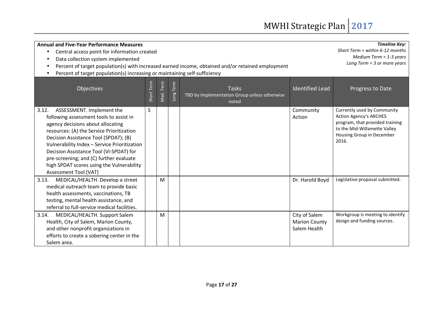| <b>Annual and Five-Year Performance Measures</b><br>Central access point for information created<br>$\bullet$<br>Data collection system implemented                                                                                                                                                                                                                                                                  |            |           |                           | Percent of target population(s) with increased earned income, obtained and/or retained employment |                                                       | <b>Timeline Key:</b><br>Short Term = within $6-12$ months<br>Medium Term = $1-3$ years<br>Long Term $=$ 3 or more years                                               |  |  |
|----------------------------------------------------------------------------------------------------------------------------------------------------------------------------------------------------------------------------------------------------------------------------------------------------------------------------------------------------------------------------------------------------------------------|------------|-----------|---------------------------|---------------------------------------------------------------------------------------------------|-------------------------------------------------------|-----------------------------------------------------------------------------------------------------------------------------------------------------------------------|--|--|
| Percent of target population(s) increasing or maintaining self-sufficiency                                                                                                                                                                                                                                                                                                                                           |            |           |                           |                                                                                                   |                                                       |                                                                                                                                                                       |  |  |
| Objectives                                                                                                                                                                                                                                                                                                                                                                                                           | Short Term | Med. Term | Term<br>Long <sup>-</sup> | <b>Tasks</b><br>TBD by Implementation Group unless otherwise<br>noted                             | <b>Identified Lead</b>                                | Progress to Date                                                                                                                                                      |  |  |
| ASSESSMENT. Implement the<br>3.12.<br>following assessment tools to assist in<br>agency decisions about allocating<br>resources: (A) the Service Prioritization<br>Decision Assistance Tool (SPDAT); (B)<br>Vulnerability Index - Service Prioritization<br>Decision Assistance Tool (VI-SPDAT) for<br>pre-screening; and (C) further evaluate<br>high SPDAT scores using the Vulnerability<br>Assessment Tool (VAT) | S          |           |                           |                                                                                                   | Community<br>Action                                   | Currently used by Community<br><b>Action Agency's ARCHES</b><br>program, that provided training<br>to the Mid-Willamette Valley<br>Housing Group in December<br>2016. |  |  |
| MEDICAL/HEALTH. Develop a street<br>3.13.<br>medical outreach team to provide basic<br>health assessments, vaccinations, TB<br>testing, mental health assistance, and<br>referral to full-service medical facilities.                                                                                                                                                                                                |            | M         |                           |                                                                                                   | Dr. Harold Boyd                                       | Legislative proposal submitted.                                                                                                                                       |  |  |
| MEDICAL/HEALTH. Support Salem<br>3.14.<br>Health, City of Salem, Marion County,<br>and other nonprofit organizations in<br>efforts to create a sobering center in the<br>Salem area.                                                                                                                                                                                                                                 |            | M         |                           |                                                                                                   | City of Salem<br><b>Marion County</b><br>Salem Health | Workgroup is meeting to identify<br>design and funding sources.                                                                                                       |  |  |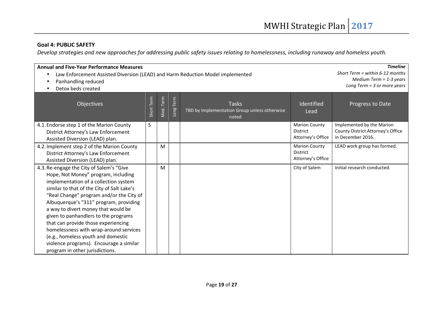#### **Goal 4: PUBLIC SAFETY**

*Develop strategies and new approaches for addressing public safety issues relating to homelessness, including runaway and homeless youth.* 

| <b>Annual and Five-Year Performance Measures</b><br>Law Enforcement Assisted Diversion (LEAD) and Harm Reduction Model implemented<br>Panhandling reduced<br>Detox beds created                                                                                                                                                                                                                                                                                                                                                                  | <b>Timeline</b><br>Short Term = within $6-12$ months<br>Medium Term = $1-3$ years<br>Long Term = $3$ or more years |           |           |                                                                       |                                                              |                                                                                     |
|--------------------------------------------------------------------------------------------------------------------------------------------------------------------------------------------------------------------------------------------------------------------------------------------------------------------------------------------------------------------------------------------------------------------------------------------------------------------------------------------------------------------------------------------------|--------------------------------------------------------------------------------------------------------------------|-----------|-----------|-----------------------------------------------------------------------|--------------------------------------------------------------|-------------------------------------------------------------------------------------|
| Objectives                                                                                                                                                                                                                                                                                                                                                                                                                                                                                                                                       | Short Term                                                                                                         | Med. Term | Long Term | <b>Tasks</b><br>TBD by Implementation Group unless otherwise<br>noted | Identified<br>Lead                                           | Progress to Date                                                                    |
| 4.1. Endorse step 1 of the Marion County<br>District Attorney's Law Enforcement<br>Assisted Diversion (LEAD) plan.                                                                                                                                                                                                                                                                                                                                                                                                                               | S                                                                                                                  |           |           |                                                                       | <b>Marion County</b><br><b>District</b><br>Attorney's Office | Implemented by the Marion<br>County District Attorney's Office<br>in December 2016. |
| 4.2. Implement step 2 of the Marion County<br>District Attorney's Law Enforcement<br>Assisted Diversion (LEAD) plan.                                                                                                                                                                                                                                                                                                                                                                                                                             |                                                                                                                    | M         |           |                                                                       | <b>Marion County</b><br><b>District</b><br>Attorney's Office | LEAD work group has formed.                                                         |
| 4.3. Re-engage the City of Salem's "Give<br>Hope, Not Money" program, including<br>implementation of a collection system<br>similar to that of the City of Salt Lake's<br>"Real Change" program and/or the City of<br>Albuquerque's "311" program, providing<br>a way to divert money that would be<br>given to panhandlers to the programs<br>that can provide those experiencing<br>homelessness with wrap-around services<br>(e.g., homeless youth and domestic<br>violence programs). Encourage a similar<br>program in other jurisdictions. |                                                                                                                    | M         |           |                                                                       | City of Salem                                                | Initial research conducted.                                                         |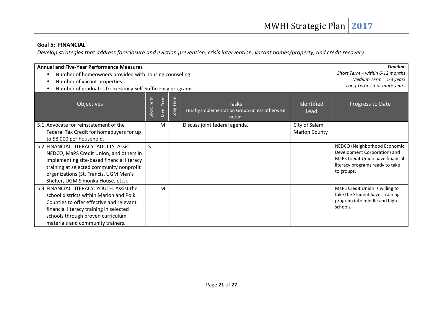#### **Goal 5: FINANCIAL**

*Develop strategies that address foreclosure and eviction prevention, crisis intervention, vacant homes/property, and credit recovery.* 

| <b>Annual and Five-Year Performance Measures</b><br>Number of homeowners provided with housing counseling |                               |                           |          |                                                                       |                      | <b>Timeline</b><br>Short Term = within $6-12$ months             |
|-----------------------------------------------------------------------------------------------------------|-------------------------------|---------------------------|----------|-----------------------------------------------------------------------|----------------------|------------------------------------------------------------------|
| Number of vacant properties                                                                               | Medium Term = $1-3$ years     |                           |          |                                                                       |                      |                                                                  |
| Number of graduates from Family Self-Sufficiency programs                                                 | Long Term $=$ 3 or more years |                           |          |                                                                       |                      |                                                                  |
| Objectives                                                                                                | Term<br>Short <sup>-</sup>    | Term<br>Ned. <sup>1</sup> | ong Term | <b>Tasks</b><br>TBD by Implementation Group unless otherwise<br>noted | Identified<br>Lead   | Progress to Date                                                 |
| 5.1. Advocate for reinstatement of the                                                                    |                               | M                         |          | Discuss joint federal agenda.                                         | City of Salem        |                                                                  |
| Federal Tax Credit for homebuyers for up                                                                  |                               |                           |          |                                                                       | <b>Marion County</b> |                                                                  |
| to \$8,000 per household.                                                                                 |                               |                           |          |                                                                       |                      |                                                                  |
| 5.2. FINANCIAL LITERACY: ADULTS. Assist                                                                   | $\mathsf{S}$                  |                           |          |                                                                       |                      | NEDCO (Neighborhood Economic                                     |
| NEDCO, MaPS Credit Union, and others in                                                                   |                               |                           |          |                                                                       |                      | Development Corporation) and<br>MaPS Credit Union have financial |
| implementing site-based financial literacy                                                                |                               |                           |          |                                                                       |                      | literacy programs ready to take                                  |
| training at selected community nonprofit                                                                  |                               |                           |          |                                                                       |                      | to groups.                                                       |
| organizations (St. Francis, UGM Men's                                                                     |                               |                           |          |                                                                       |                      |                                                                  |
| Shelter, UGM Simonka House, etc.).<br>5.3. FINANCIAL LITERACY: YOUTH. Assist the                          |                               | M                         |          |                                                                       |                      | MaPS Credit Union is willing to                                  |
| school districts within Marion and Polk                                                                   |                               |                           |          |                                                                       |                      | take the Student Saver training                                  |
| Counties to offer effective and relevant                                                                  |                               |                           |          |                                                                       |                      | program into middle and high                                     |
| financial literacy training in selected                                                                   |                               |                           |          |                                                                       |                      | schools.                                                         |
| schools through proven curriculum                                                                         |                               |                           |          |                                                                       |                      |                                                                  |
| materials and community trainers.                                                                         |                               |                           |          |                                                                       |                      |                                                                  |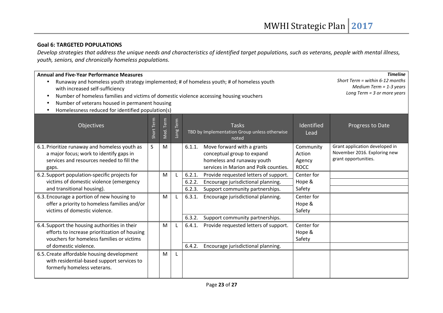#### **Goal 6: TARGETED POPULATIONS**

 *Develop strategies that address the unique needs and characteristics of identified target populations, such as veterans, people with mental illness, youth, seniors, and chronically homeless populations.* 

| <b>Annual and Five-Year Performance Measures</b><br>with increased self-sufficiency<br>Number of homeless families and victims of domestic violence accessing housing vouchers<br>Number of veterans housed in permanent housing<br>Homelessness reduced for identified population(s) |            |           |          | Runaway and homeless youth strategy implemented; # of homeless youth; # of homeless youth                                                    |                                              | <b>Timeline</b><br>Short Term = within $6-12$ months<br>Medium Term = $1-3$ years<br>Long Term $=$ 3 or more years |
|---------------------------------------------------------------------------------------------------------------------------------------------------------------------------------------------------------------------------------------------------------------------------------------|------------|-----------|----------|----------------------------------------------------------------------------------------------------------------------------------------------|----------------------------------------------|--------------------------------------------------------------------------------------------------------------------|
| Objectives                                                                                                                                                                                                                                                                            | Short Term | Med. Term | ong Term | <b>Tasks</b><br>TBD by Implementation Group unless otherwise<br>noted                                                                        | Identified<br>Lead                           | Progress to Date                                                                                                   |
| 6.1. Prioritize runaway and homeless youth as<br>a major focus; work to identify gaps in<br>services and resources needed to fill the<br>gaps.                                                                                                                                        | S          | M         |          | Move forward with a grants<br>6.1.1.<br>conceptual group to expand<br>homeless and runaway youth<br>services in Marion and Polk counties.    | Community<br>Action<br>Agency<br><b>ROCC</b> | Grant application developed in<br>November 2016. Exploring new<br>grant opportunities.                             |
| 6.2. Support population-specific projects for<br>victims of domestic violence (emergency<br>and transitional housing).                                                                                                                                                                |            | M         |          | 6.2.1.<br>Provide requested letters of support.<br>6.2.2.<br>Encourage jurisdictional planning.<br>6.2.3.<br>Support community partnerships. | Center for<br>Hope &<br>Safety               |                                                                                                                    |
| 6.3. Encourage a portion of new housing to<br>offer a priority to homeless families and/or<br>victims of domestic violence.                                                                                                                                                           |            | M         |          | 6.3.1.<br>Encourage jurisdictional planning.                                                                                                 | Center for<br>Hope &<br>Safety               |                                                                                                                    |
| 6.4. Support the housing authorities in their<br>efforts to increase prioritization of housing<br>vouchers for homeless families or victims<br>of domestic violence.                                                                                                                  |            | M         |          | 6.3.2.<br>Support community partnerships.<br>6.4.1.<br>Provide requested letters of support.<br>6.4.2.<br>Encourage jurisdictional planning. | Center for<br>Hope &<br>Safety               |                                                                                                                    |
| 6.5. Create affordable housing development<br>with residential-based support services to<br>formerly homeless veterans.                                                                                                                                                               |            | M         |          |                                                                                                                                              |                                              |                                                                                                                    |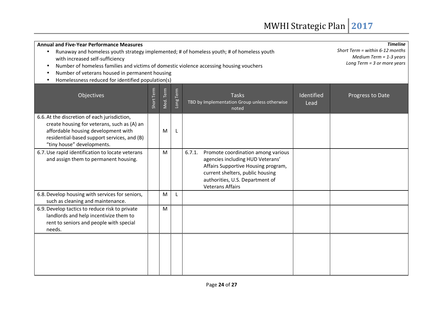| <b>Annual and Five-Year Performance Measures</b><br>Runaway and homeless youth strategy implemented; # of homeless youth; # of homeless youth<br>with increased self-sufficiency<br>Number of homeless families and victims of domestic violence accessing housing vouchers<br>Number of veterans housed in permanent housing<br>Homelessness reduced for identified population(s) | <b>Timeline</b><br>Short Term = within $6-12$ months<br>Medium Term = $1-3$ years<br>Long Term $=$ 3 or more years |           |           |                                                                                                                                                                                                                           |                    |                  |
|------------------------------------------------------------------------------------------------------------------------------------------------------------------------------------------------------------------------------------------------------------------------------------------------------------------------------------------------------------------------------------|--------------------------------------------------------------------------------------------------------------------|-----------|-----------|---------------------------------------------------------------------------------------------------------------------------------------------------------------------------------------------------------------------------|--------------------|------------------|
| <b>Objectives</b>                                                                                                                                                                                                                                                                                                                                                                  | Short Term                                                                                                         | Med. Term | Long Term | <b>Tasks</b><br>TBD by Implementation Group unless otherwise<br>noted                                                                                                                                                     | Identified<br>Lead | Progress to Date |
| 6.6. At the discretion of each jurisdiction,<br>create housing for veterans, such as (A) an<br>affordable housing development with<br>residential-based support services, and (B)<br>"tiny house" developments.                                                                                                                                                                    |                                                                                                                    | М         |           |                                                                                                                                                                                                                           |                    |                  |
| 6.7. Use rapid identification to locate veterans<br>and assign them to permanent housing.                                                                                                                                                                                                                                                                                          |                                                                                                                    | M         |           | Promote coordination among various<br>6.7.1.<br>agencies including HUD Veterans'<br>Affairs Supportive Housing program,<br>current shelters, public housing<br>authorities, U.S. Department of<br><b>Veterans Affairs</b> |                    |                  |
| 6.8. Develop housing with services for seniors,<br>such as cleaning and maintenance.                                                                                                                                                                                                                                                                                               |                                                                                                                    | M         | L         |                                                                                                                                                                                                                           |                    |                  |
| 6.9. Develop tactics to reduce risk to private<br>landlords and help incentivize them to<br>rent to seniors and people with special<br>needs.                                                                                                                                                                                                                                      |                                                                                                                    | M         |           |                                                                                                                                                                                                                           |                    |                  |
|                                                                                                                                                                                                                                                                                                                                                                                    |                                                                                                                    |           |           |                                                                                                                                                                                                                           |                    |                  |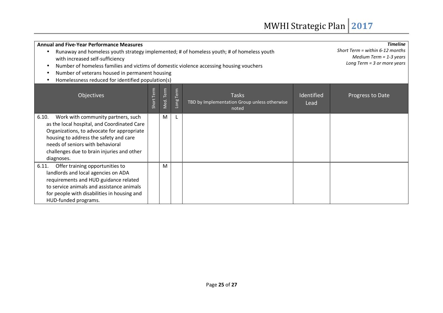| <b>Annual and Five-Year Performance Measures</b><br>Runaway and homeless youth strategy implemented; # of homeless youth; # of homeless youth<br>with increased self-sufficiency<br>Number of homeless families and victims of domestic violence accessing housing vouchers<br>Number of veterans housed in permanent housing<br>Homelessness reduced for identified population(s) | <b>Timeline</b><br>Short Term = within $6-12$ months<br>Medium Term = $1-3$ years<br>Long Term $=$ 3 or more years |           |           |                                                                       |                    |                  |
|------------------------------------------------------------------------------------------------------------------------------------------------------------------------------------------------------------------------------------------------------------------------------------------------------------------------------------------------------------------------------------|--------------------------------------------------------------------------------------------------------------------|-----------|-----------|-----------------------------------------------------------------------|--------------------|------------------|
| Objectives                                                                                                                                                                                                                                                                                                                                                                         | Term<br>Short <sup>-</sup>                                                                                         | Med. Term | Long Term | <b>Tasks</b><br>TBD by Implementation Group unless otherwise<br>noted | Identified<br>Lead | Progress to Date |
| Work with community partners, such<br>6.10.<br>as the local hospital, and Coordinated Care<br>Organizations, to advocate for appropriate<br>housing to address the safety and care<br>needs of seniors with behavioral<br>challenges due to brain injuries and other<br>diagnoses.                                                                                                 |                                                                                                                    | M         | L         |                                                                       |                    |                  |
| Offer training opportunities to<br>6.11.<br>landlords and local agencies on ADA<br>requirements and HUD guidance related<br>to service animals and assistance animals<br>for people with disabilities in housing and<br>HUD-funded programs.                                                                                                                                       |                                                                                                                    | м         |           |                                                                       |                    |                  |